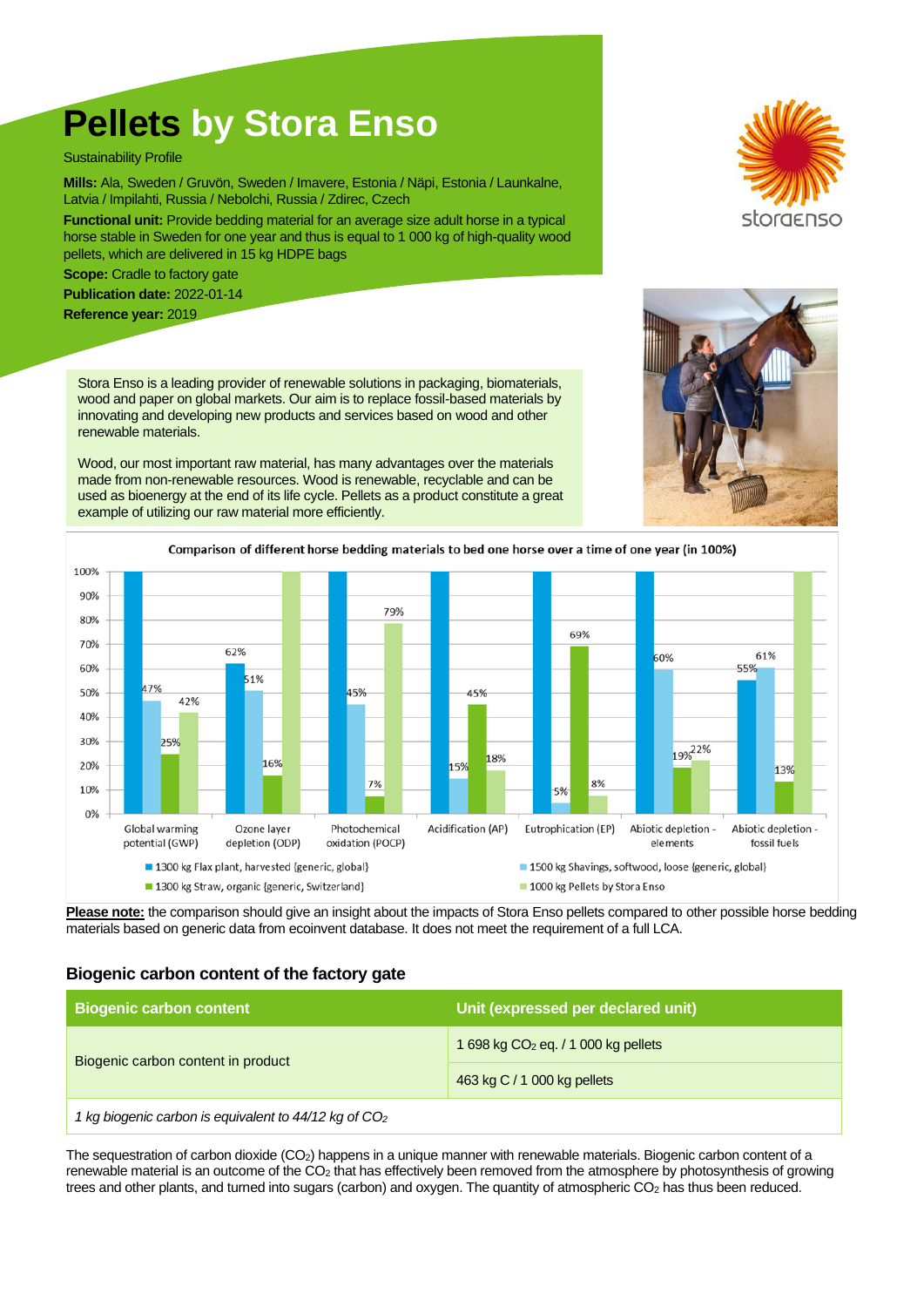# **Pellets by Stora Enso**

Sustainability Profile

**Mills:** Ala, Sweden / Gruvön, Sweden / Imavere, Estonia / Näpi, Estonia / Launkalne, Latvia / Impilahti, Russia / Nebolchi, Russia / Zdirec, Czech

**Functional unit:** Provide bedding material for an average size adult horse in a typical horse stable in Sweden for one year and thus is equal to 1 000 kg of high-quality wood pellets, which are delivered in 15 kg HDPE bags

**Scope:** Cradle to factory gate

**Publication date:** 2022-01-14

**Reference year:** 2019

Stora Enso is a leading provider of renewable solutions in packaging, biomaterials, wood and paper on global markets. Our aim is to replace fossil-based materials by innovating and developing new products and services based on wood and other renewable materials.

Wood, our most important raw material, has many advantages over the materials made from non-renewable resources. Wood is renewable, recyclable and can be used as bioenergy at the end of its life cycle. Pellets as a product constitute a great example of utilizing our raw material more efficiently.







**Please note:** the comparison should give an insight about the impacts of Stora Enso pellets compared to other possible horse bedding materials based on generic data from ecoinvent database. It does not meet the requirement of a full LCA.

#### **Biogenic carbon content of the factory gate**

| <b>Biogenic carbon content</b>                                    | Unit (expressed per declared unit)    |  |
|-------------------------------------------------------------------|---------------------------------------|--|
| Biogenic carbon content in product                                | 1 698 kg $CO2$ eq. / 1 000 kg pellets |  |
|                                                                   | 463 kg C / 1 000 kg pellets           |  |
| 1 kg biogenic carbon is equivalent to 44/12 kg of CO <sub>2</sub> |                                       |  |

The sequestration of carbon dioxide (CO2) happens in a unique manner with renewable materials. Biogenic carbon content of a renewable material is an outcome of the CO<sub>2</sub> that has effectively been removed from the atmosphere by photosynthesis of growing trees and other plants, and turned into sugars (carbon) and oxygen. The quantity of atmospheric CO<sup>2</sup> has thus been reduced.